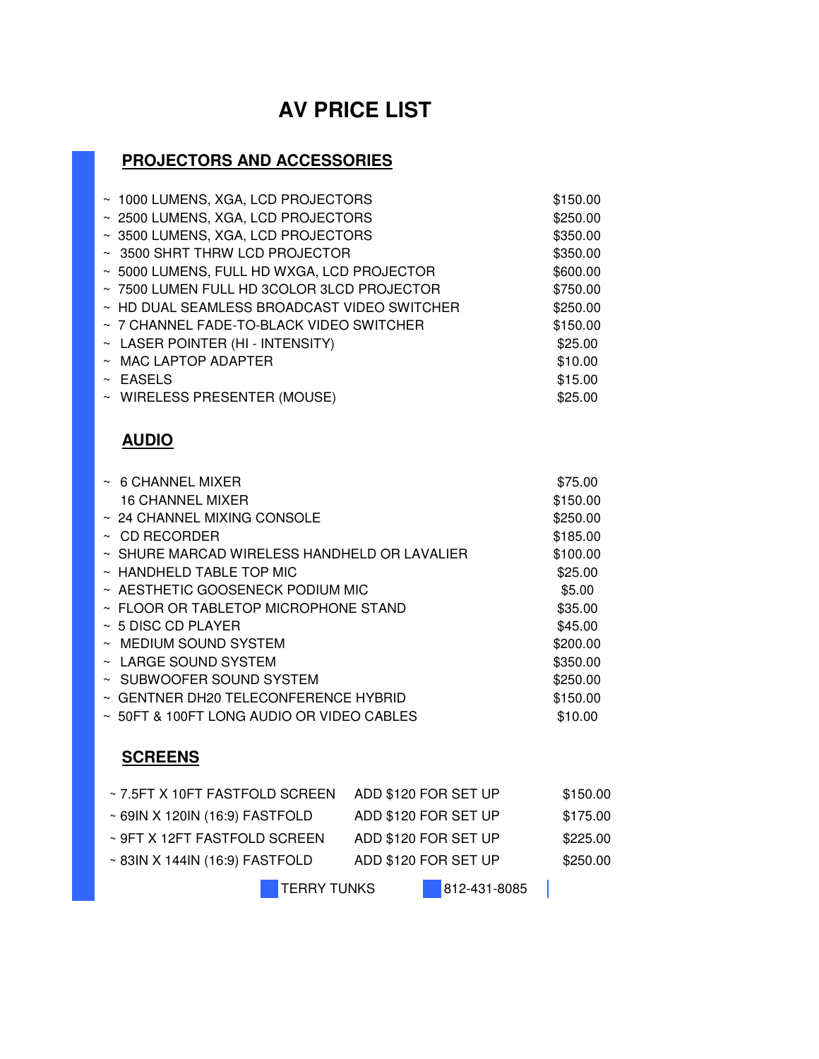## **AV PRICE LIST**

#### **PROJECTORS AND ACCESSORIES**

| ~ 1000 LUMENS, XGA, LCD PROJECTORS          | \$150.00 |
|---------------------------------------------|----------|
| ~ 2500 LUMENS, XGA, LCD PROJECTORS          | \$250.00 |
| ~ 3500 LUMENS, XGA, LCD PROJECTORS          | \$350.00 |
| ~ 3500 SHRT THRW LCD PROJECTOR              | \$350.00 |
| ~ 5000 LUMENS, FULL HD WXGA, LCD PROJECTOR  | \$600.00 |
| ~7500 LUMEN FULL HD 3COLOR 3LCD PROJECTOR   | \$750.00 |
| ~ HD DUAL SEAMLESS BROADCAST VIDEO SWITCHER | \$250.00 |
| ~ 7 CHANNEL FADE-TO-BLACK VIDEO SWITCHER    | \$150.00 |
| $~\sim~$ LASER POINTER (HI - INTENSITY)     | \$25.00  |
| $~\sim~$ MAC LAPTOP ADAPTER                 | \$10.00  |
| $~\sim$ EASELS                              | \$15.00  |
| ~ WIRELESS PRESENTER (MOUSE)                | \$25.00  |

#### **AUDIO**

| $~\sim~$ 6 CHANNEL MIXER                          | \$75.00  |
|---------------------------------------------------|----------|
| <b>16 CHANNEL MIXER</b>                           | \$150.00 |
| $\sim$ 24 CHANNEL MIXING CONSOLE                  | \$250.00 |
| $\sim$ CD RECORDER                                | \$185.00 |
| $\sim$ SHURE MARCAD WIRELESS HANDHELD OR LAVALIER | \$100.00 |
| $\sim$ HANDHELD TABLE TOP MIC                     | \$25.00  |
| $\sim$ AESTHETIC GOOSENECK PODIUM MIC             | \$5.00   |
| $\sim$ FLOOR OR TABLETOP MICROPHONE STAND         | \$35.00  |
| $~\sim~$ 5 DISC CD PLAYER                         | \$45.00  |
| $\sim$ MEDIUM SOUND SYSTEM                        | \$200.00 |
| $\sim$ LARGE SOUND SYSTEM                         | \$350.00 |
| ~ SUBWOOFER SOUND SYSTEM                          | \$250.00 |
| $\sim$ GENTNER DH20 TELECONFERENCE HYBRID         | \$150.00 |
| $\sim$ 50FT & 100FT LONG AUDIO OR VIDEO CABLES    | \$10.00  |

#### **SCREENS**

| ~7.5FT X 10FT FASTFOLD SCREEN       | ADD \$120 FOR SET UP | \$150.00     |
|-------------------------------------|----------------------|--------------|
| ~ 69IN X 120IN (16:9) FASTFOLD      | ADD \$120 FOR SET UP | \$175.00     |
| ~ 9FT X 12FT FASTFOLD SCREEN        | ADD \$120 FOR SET UP | \$225.00     |
| $\sim$ 83IN X 144IN (16:9) FASTFOLD | ADD \$120 FOR SET UP | \$250.00     |
| <b>TERRY TUNKS</b>                  |                      | 812-431-8085 |